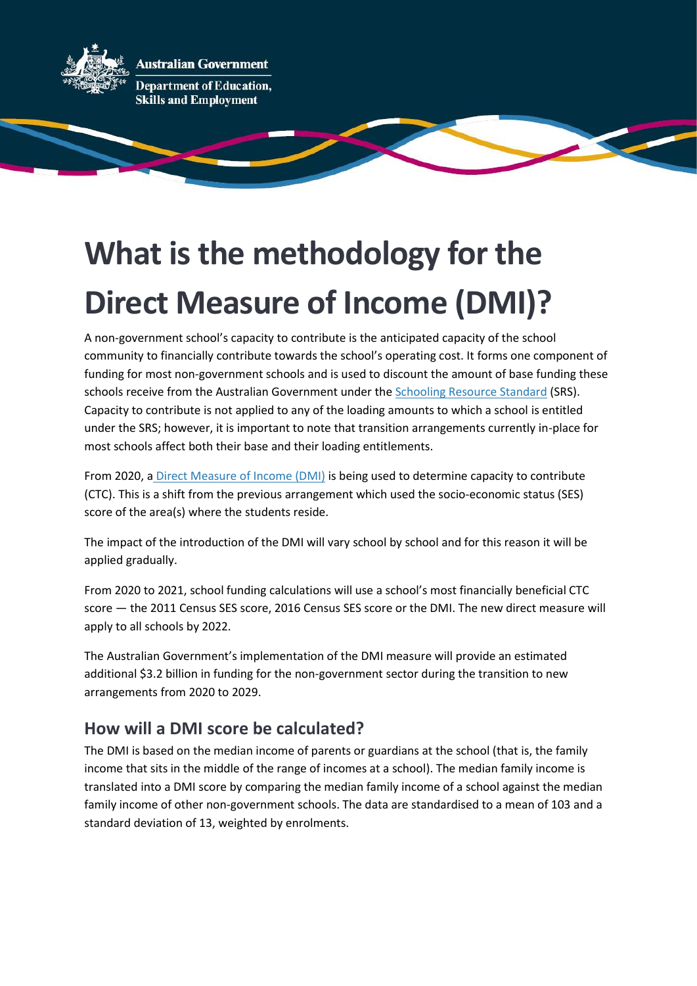**Australian Government Department of Education,** 

**Skills and Employment** 

# **What is the methodology for the Direct Measure of Income (DMI)?**

A non-government school's capacity to contribute is the anticipated capacity of the school community to financially contribute towards the school's operating cost. It forms one component of funding for most non-government schools and is used to discount the amount of base funding these schools receive from the Australian Government under th[e Schooling Resource Standard](https://www.dese.gov.au/quality-schools-package/fact-sheets/what-schooling-resource-standard-and-how-does-it-work) (SRS). Capacity to contribute is not applied to any of the loading amounts to which a school is entitled under the SRS; however, it is important to note that transition arrangements currently in-place for most schools affect both their base and their loading entitlements.

From 2020, a [Direct Measure of Income \(DMI\)](https://www.dese.gov.au/quality-schools-package/fact-sheets/what-direct-measure-income) is being used to determine capacity to contribute (CTC). This is a shift from the previous arrangement which used the socio-economic status (SES) score of the area(s) where the students reside.

The impact of the introduction of the DMI will vary school by school and for this reason it will be applied gradually.

From 2020 to 2021, school funding calculations will use a school's most financially beneficial CTC score — the 2011 Census SES score, 2016 Census SES score or the DMI. The new direct measure will apply to all schools by 2022.

The Australian Government's implementation of the DMI measure will provide an estimated additional \$3.2 billion in funding for the non-government sector during the transition to new arrangements from 2020 to 2029.

# **How will a DMI score be calculated?**

The DMI is based on the median income of parents or guardians at the school (that is, the family income that sits in the middle of the range of incomes at a school). The median family income is translated into a DMI score by comparing the median family income of a school against the median family income of other non-government schools. The data are standardised to a mean of 103 and a standard deviation of 13, weighted by enrolments.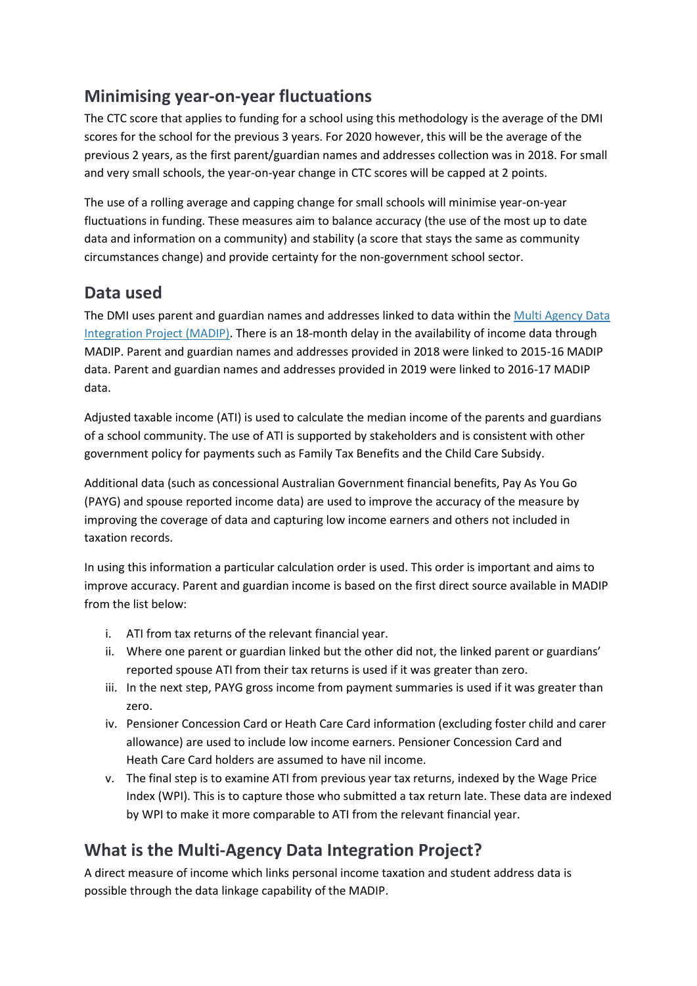# **Minimising year-on-year fluctuations**

The CTC score that applies to funding for a school using this methodology is the average of the DMI scores for the school for the previous 3 years. For 2020 however, this will be the average of the previous 2 years, as the first parent/guardian names and addresses collection was in 2018. For small and very small schools, the year-on-year change in CTC scores will be capped at 2 points.

The use of a rolling average and capping change for small schools will minimise year-on-year fluctuations in funding. These measures aim to balance accuracy (the use of the most up to date data and information on a community) and stability (a score that stays the same as community circumstances change) and provide certainty for the non-government school sector.

### **Data used**

The DMI uses parent and guardian names and addresses linked to data within the Multi [Agency Data](https://www.abs.gov.au/websitedbs/d3310114.nsf/home/statistical+data+integration+-+madip)  [Integration Project \(MADIP\).](https://www.abs.gov.au/websitedbs/d3310114.nsf/home/statistical+data+integration+-+madip) There is an 18-month delay in the availability of income data through MADIP. Parent and guardian names and addresses provided in 2018 were linked to 2015-16 MADIP data. Parent and guardian names and addresses provided in 2019 were linked to 2016-17 MADIP data.

Adjusted taxable income (ATI) is used to calculate the median income of the parents and guardians of a school community. The use of ATI is supported by stakeholders and is consistent with other government policy for payments such as Family Tax Benefits and the Child Care Subsidy.

Additional data (such as concessional Australian Government financial benefits, Pay As You Go (PAYG) and spouse reported income data) are used to improve the accuracy of the measure by improving the coverage of data and capturing low income earners and others not included in taxation records.

In using this information a particular calculation order is used. This order is important and aims to improve accuracy. Parent and guardian income is based on the first direct source available in MADIP from the list below:

- i. ATI from tax returns of the relevant financial year.
- ii. Where one parent or guardian linked but the other did not, the linked parent or guardians' reported spouse ATI from their tax returns is used if it was greater than zero.
- iii. In the next step, PAYG gross income from payment summaries is used if it was greater than zero.
- iv. Pensioner Concession Card or Heath Care Card information (excluding foster child and carer allowance) are used to include low income earners. Pensioner Concession Card and Heath Care Card holders are assumed to have nil income.
- v. The final step is to examine ATI from previous year tax returns, indexed by the Wage Price Index (WPI). This is to capture those who submitted a tax return late. These data are indexed by WPI to make it more comparable to ATI from the relevant financial year.

# **What is the Multi-Agency Data Integration Project?**

A direct measure of income which links personal income taxation and student address data is possible through the data linkage capability of the MADIP.